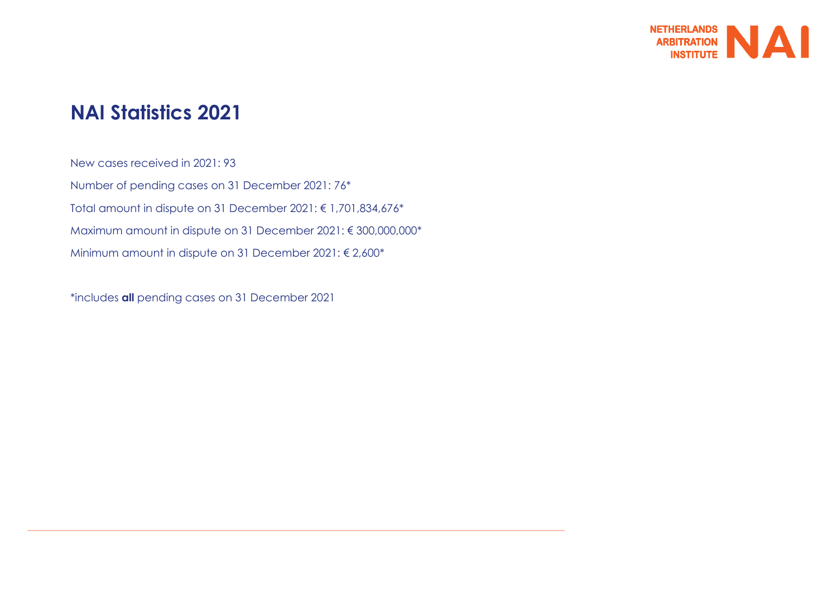

# **NAI Statistics 2021**

New cases received in 2021: 93 Number of pending cases on 31 December 2021: 76\* Total amount in dispute on 31 December 2021: € 1,701,834,676\* Maximum amount in dispute on 31 December 2021: € 300,000,000\* Minimum amount in dispute on 31 December 2021: € 2,600\*

\*includes **all** pending cases on 31 December 2021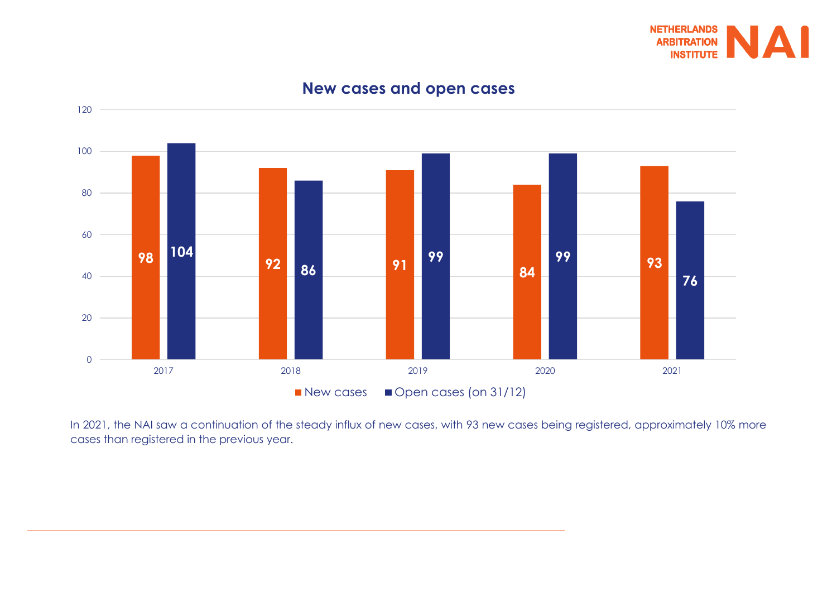

## **<sup>92</sup> <sup>91</sup> <sup>84</sup> <sup>93</sup> 99** 2018 2019 2020 2021  $\blacksquare$  New cases  $\blacksquare$  Open cases (on 31/12)

## **New cases and open cases**

In 2021, the NAI saw a continuation of the steady influx of new cases, with 93 new cases being registered, approximately 10% more cases than registered in the previous year.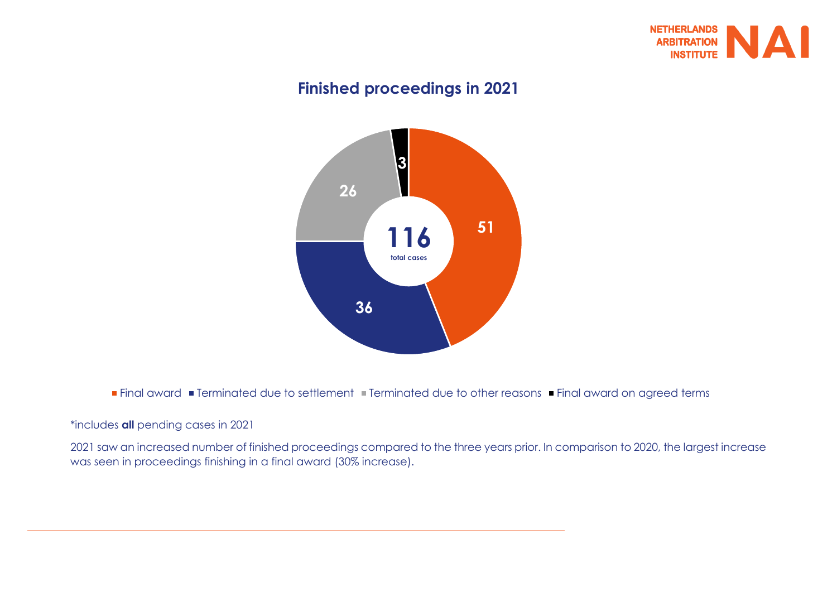

## **Finished proceedings in 2021**



■ Final award ■ Terminated due to settlement ■ Terminated due to other reasons ■ Final award on agreed terms

#### \*includes **all** pending cases in 2021

2021 saw an increased number of finished proceedings compared to the three years prior. In comparison to 2020, the largest increase was seen in proceedings finishing in a final award (30% increase).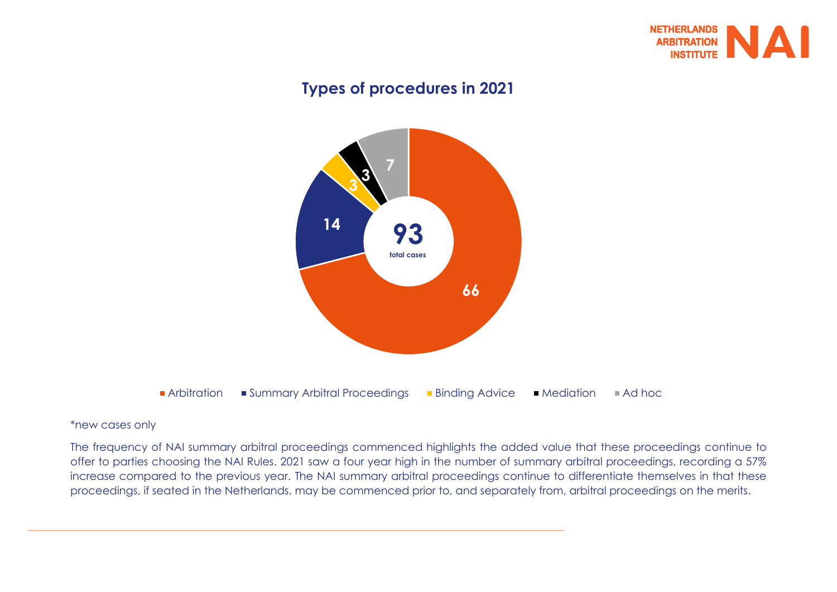

## **Types of procedures in 2021**



#### \*new cases only

The frequency of NAI summary arbitral proceedings commenced highlights the added value that these proceedings continue to offer to parties choosing the NAI Rules. 2021 saw a four year high in the number of summary arbitral proceedings, recording a 57% increase compared to the previous year. The NAI summary arbitral proceedings continue to differentiate themselves in that these proceedings, if seated in the Netherlands, may be commenced prior to, and separately from, arbitral proceedings on the merits.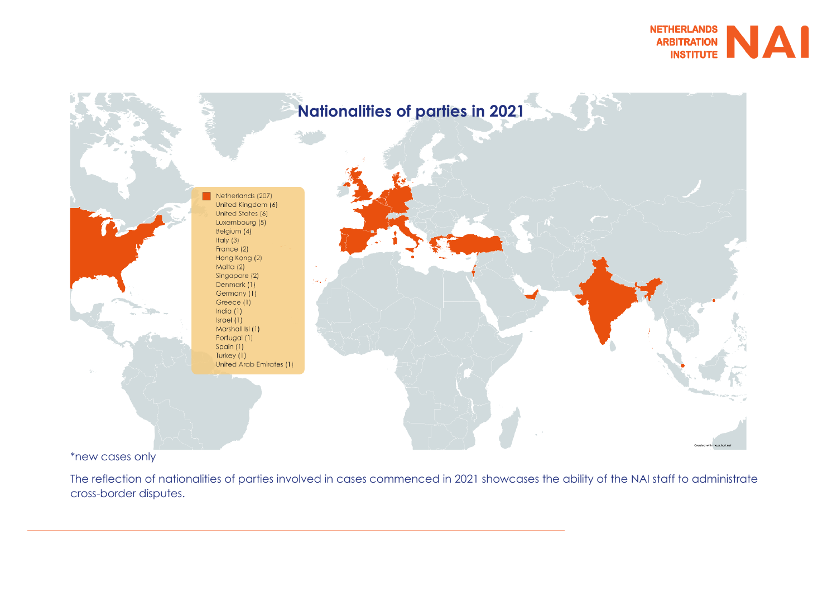



\*new cases only

The reflection of nationalities of parties involved in cases commenced in 2021 showcases the ability of the NAI staff to administrate cross-border disputes.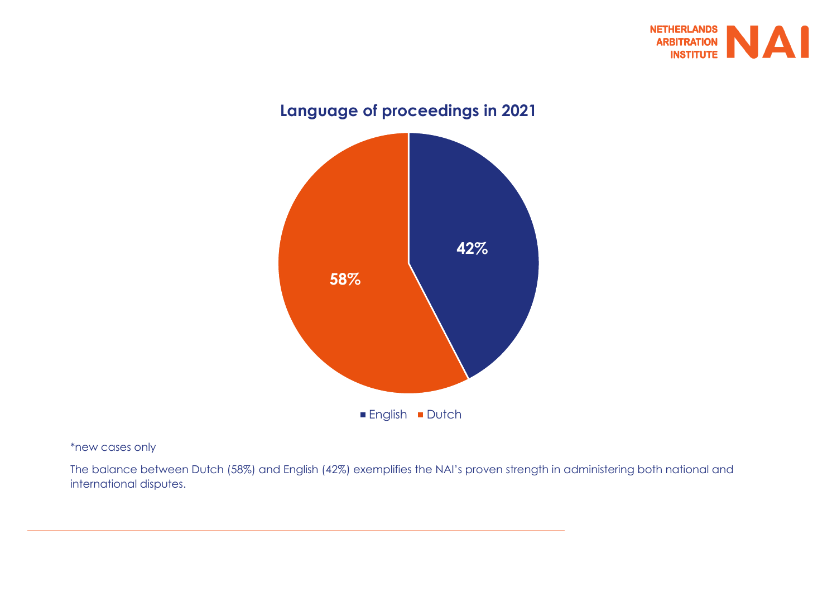

# **42% 58% Language of proceedings in 2021 English Dutch**

#### \*new cases only

The balance between Dutch (58%) and English (42%) exemplifies the NAI's proven strength in administering both national and international disputes.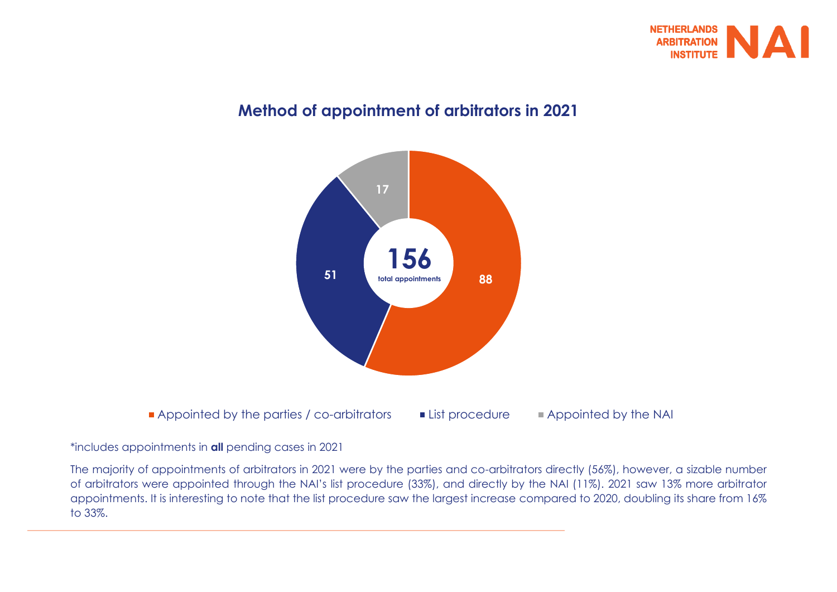

## **Method of appointment of arbitrators in 2021**



#### \*includes appointments in **all** pending cases in 2021

The majority of appointments of arbitrators in 2021 were by the parties and co-arbitrators directly (56%), however, a sizable number of arbitrators were appointed through the NAI's list procedure (33%), and directly by the NAI (11%). 2021 saw 13% more arbitrator appointments. It is interesting to note that the list procedure saw the largest increase compared to 2020, doubling its share from 16% to 33%.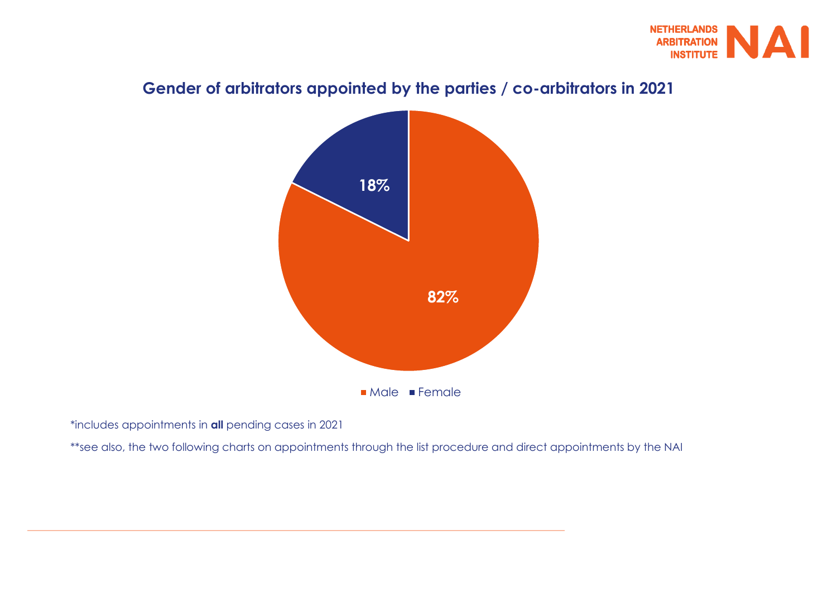

## **Gender of arbitrators appointed by the parties / co-arbitrators in 2021**



\*includes appointments in **all** pending cases in 2021

\*\*see also, the two following charts on appointments through the list procedure and direct appointments by the NAI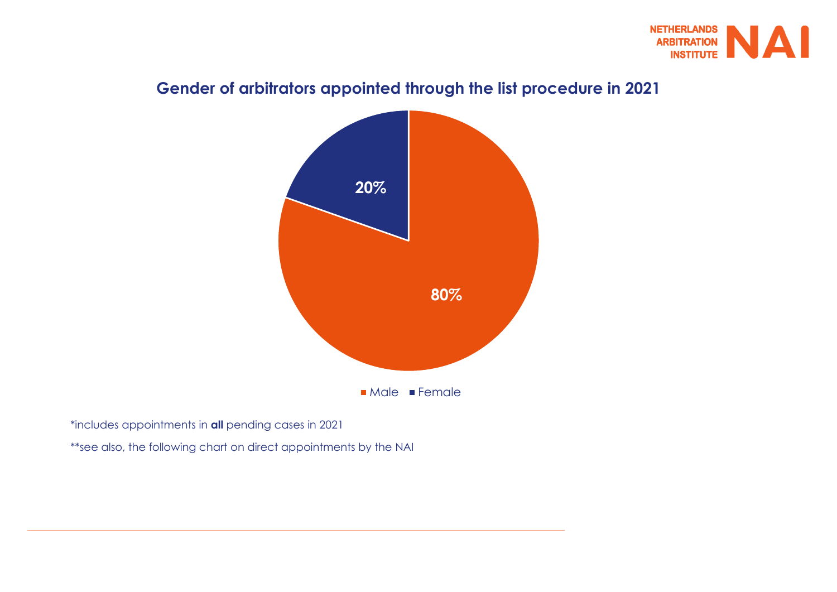

## **Gender of arbitrators appointed through the list procedure in 2021**



\*includes appointments in **all** pending cases in 2021

\*\*see also, the following chart on direct appointments by the NAI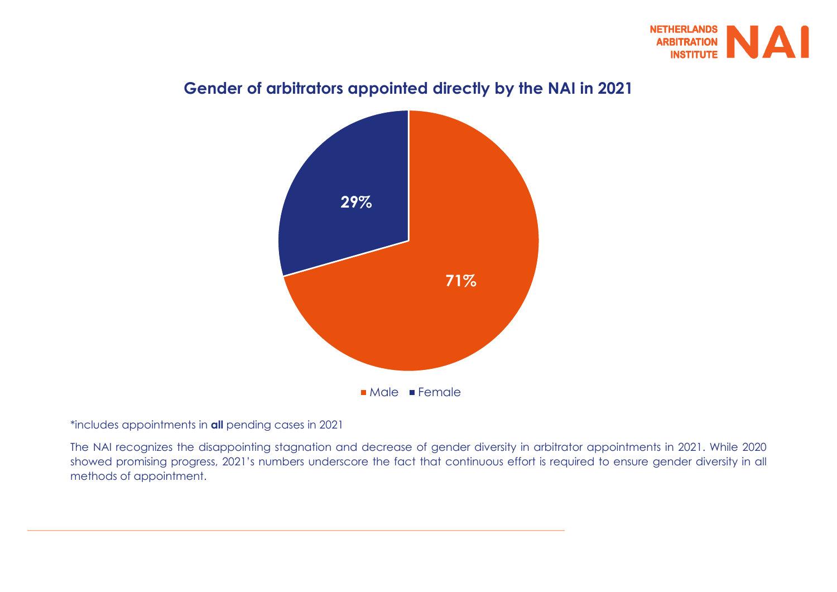



## **Gender of arbitrators appointed directly by the NAI in 2021**

#### \*includes appointments in **all** pending cases in 2021

The NAI recognizes the disappointing stagnation and decrease of gender diversity in arbitrator appointments in 2021. While 2020 showed promising progress, 2021's numbers underscore the fact that continuous effort is required to ensure gender diversity in all methods of appointment.